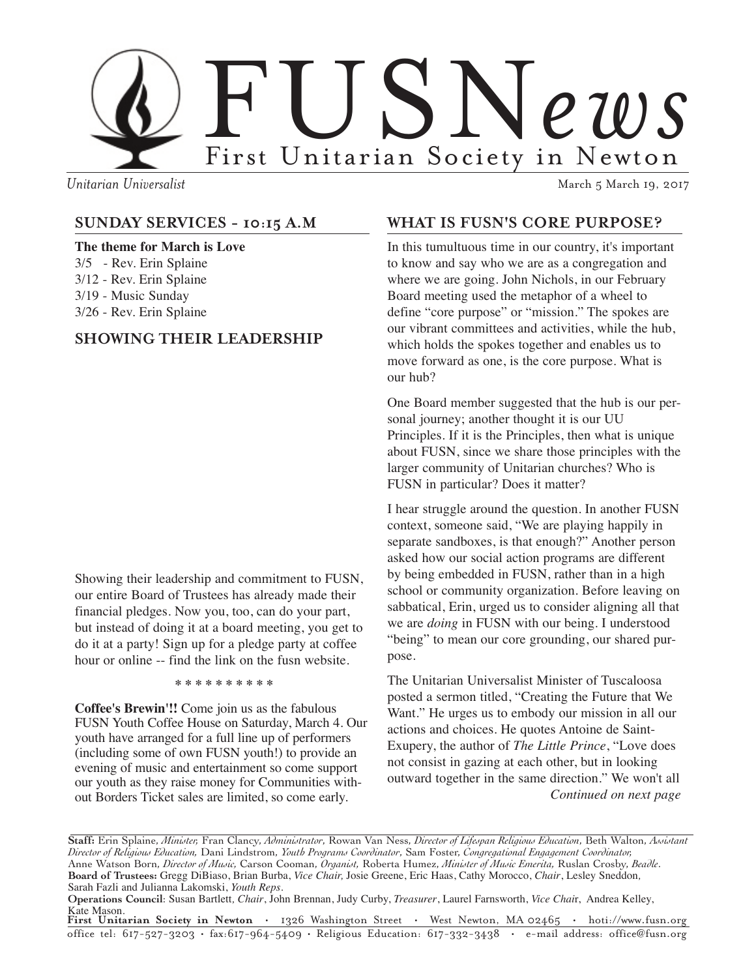

*Unitarian Universalist* March 5 March 5 March 19, 2017

### **SUNDAY SERVICES - 10:15 A.M**

**The theme for March is Love** 3/5 - Rev. Erin Splaine 3/12 - Rev. Erin Splaine 3/19 - Music Sunday 3/26 - Rev. Erin Splaine

### **SHOWING THEIR LEADERSHIP**

Showing their leadership and commitment to FUSN, our entire Board of Trustees has already made their financial pledges. Now you, too, can do your part, but instead of doing it at a board meeting, you get to do it at a party! Sign up for a pledge party at coffee hour or online -- find the link on the fusn website.

**\* \* \* \* \* \* \* \* \* \***

**Coffee's Brewin'!!** Come join us as the fabulous FUSN Youth Coffee House on Saturday, March 4. Our youth have arranged for a full line up of performers (including some of own FUSN youth!) to provide an evening of music and entertainment so come support our youth as they raise money for Communities without Borders Ticket sales are limited, so come early.

### **WHAT IS FUSN'S CORE PURPOSE?**

In this tumultuous time in our country, it's important to know and say who we are as a congregation and where we are going. John Nichols, in our February Board meeting used the metaphor of a wheel to define "core purpose" or "mission." The spokes are our vibrant committees and activities, while the hub, which holds the spokes together and enables us to move forward as one, is the core purpose. What is our hub?

One Board member suggested that the hub is our personal journey; another thought it is our UU Principles. If it is the Principles, then what is unique about FUSN, since we share those principles with the larger community of Unitarian churches? Who is FUSN in particular? Does it matter?

I hear struggle around the question. In another FUSN context, someone said, "We are playing happily in separate sandboxes, is that enough?" Another person asked how our social action programs are different by being embedded in FUSN, rather than in a high school or community organization. Before leaving on sabbatical, Erin, urged us to consider aligning all that we are *doing* in FUSN with our being. I understood "being" to mean our core grounding, our shared purpose.

The Unitarian Universalist Minister of Tuscaloosa posted a sermon titled, "Creating the Future that We Want." He urges us to embody our mission in all our actions and choices. He quotes Antoine de Saint-Exupery, the author of *The Little Prince*, "Love does not consist in gazing at each other, but in looking outward together in the same direction." We won't all *Continued on next page*

**Operations Council**: Susan Bartlett*, Chair*, John Brennan, Judy Curby, *Treasurer*, Laurel Farnsworth, *Vice Chai*r, Andrea Kelley, Kate Mason.

**First Unitarian Society in Newton** • 1326 Washington Street • West Newton, MA 02465 • hoti://www.fusn.org office tel: 617-527-3203 • fax:617-964-5409 • Religious Education: 617-332-3438 • e-mail address: office@fusn.org

**Staff:** Erin Splaine, *Minister,* Fran Clancy, *Administrator*, Rowan Van Ness, *Director of Lifespan Religious Education*, Beth Walton, *Assistant Director of Religious Education,* Dani Lindstrom, *Youth Programs Coordinator*, Sam Foster, *Congregational Engagement Coordinator,* Anne Watson Born, *Director of Music,* Carson Cooman, *Organist,* Roberta Humez, *Minister of Music Emerita,* Ruslan Crosby, *Beadle*. **Board of Trustees:** Gregg DiBiaso, Brian Burba, *Vice Chair,* Josie Greene, Eric Haas, Cathy Morocco, *Chair*, Lesley Sneddon*,* Sarah Fazli and Julianna Lakomski, *Youth Reps.*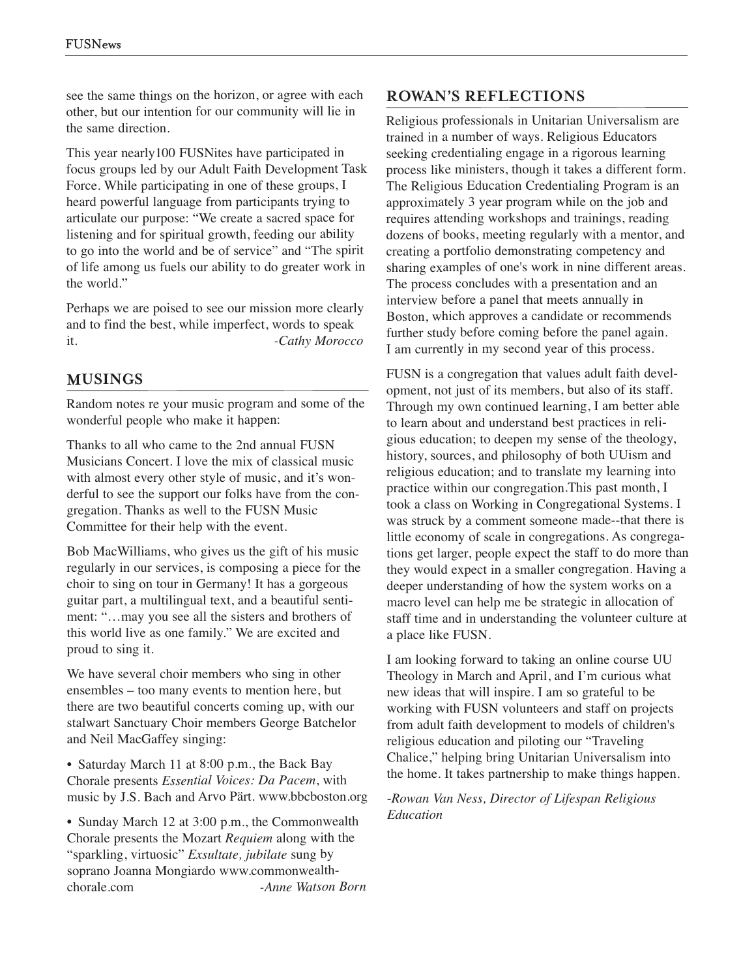see the same things on the horizon, or agree with each other, but our intention for our community will lie in the same direction.

This year nearly100 FUSNites have participated in focus groups led by our Adult Faith Development Task Force. While participating in one of these groups, I heard powerful language from participants trying to articulate our purpose: "We create <sup>a</sup> sacred space for listening and for spiritual growth, feeding our ability to go into the world and be of service" and "The spirit of life among us fuels our ability to do greater work in the world."

Perhaps we are poised to see our mission more clearly and to find the best, while imperfect, words to speak it. *-Cathy Morocco*

### **MUSINGS**

Random notes re your music program and some of the wonderful people who make it happen:

Thanks to all who came to the 2nd annual FUSN Musicians Concert. I love the mix of classical music with almost every other style of music, and it's wonderful to see the suppor<sup>t</sup> our folks have from the congregation. Thanks as well to the FUSN Music Committee for their help with the event.

Bob MacWilliams, who gives us the gift of his music regularly in our services, is composing <sup>a</sup> piece for the choir to sing on tour in Germany! It has <sup>a</sup> gorgeous guitar part, <sup>a</sup> multilingual text, and <sup>a</sup> beautiful sentiment: "…may you see all the sisters and brothers of this world live as one family." We are excited and proud to sing it.

We have several choir members who sing in other ensembles – too many events to mention here, but there are two beautiful concerts coming up, with our stalwart Sanctuary Choir members George Batchelor and Neil MacGaffey singing:

• Saturday March 11 at 8:00 p.m., the Back Bay Chorale presents *Essential Voices: Da Pacem*, with music by J.S. Bach and Arvo Pärt. www.bbcboston.org

• Sunday March 12 at 3:00 p.m., the Commonwealth Chorale presents the Mozart *Requiem* along with the "sparkling, virtuosic" *Exsultate, jubilate* sung by soprano Joanna Mongiardo www.commonwealthchorale.com *-Anne Watson Born*

## **ROWAN'S REFLECTIONS**

Religious professionals in Unitarian Universalism are trained in <sup>a</sup> number of ways. Religious Educators seeking credentialing engage in <sup>a</sup> rigorous learning process like ministers, though it takes <sup>a</sup> different form. The Religious Education Credentialing Program is an approximately 3 year program while on the job and requires attending workshops and trainings, reading dozens of books, meeting regularly with <sup>a</sup> mentor, and creating <sup>a</sup> portfolio demonstrating competency and sharing examples of one's work in nine different areas. The process concludes with <sup>a</sup> presentation and an interview before <sup>a</sup> panel that meets annually in Boston, which approves <sup>a</sup> candidate or recommends further study before coming before the panel again. I am currently in my second year of this process.

FUSN is <sup>a</sup> congregation that values adult faith development, not just of its members, but also of its staff. Through my own continued learning, I am better able to learn about and understand best practices in religious education; to deepen my sense of the theology, history, sources, and philosophy of both UUism and religious education; and to translate my learning into practice within our congregation.This pas<sup>t</sup> month, I took <sup>a</sup> class on Working in Congregational Systems. I was struck by <sup>a</sup> comment someone made--that there is little economy of scale in congregations. As congregations ge<sup>t</sup> larger, people expec<sup>t</sup> the staff to do more than they would expec<sup>t</sup> in <sup>a</sup> smaller congregation. Having <sup>a</sup> deeper understanding of how the system works on <sup>a</sup> macro level can help me be strategic in allocation of staff time and in understanding the volunteer culture at <sup>a</sup> place like FUSN.

I am looking forward to taking an online course UU Theology in March and April, and I'm curious what new ideas that will inspire. I am so grateful to be working with FUSN volunteers and staff on projects from adult faith development to models of children's religious education and piloting our "Traveling Chalice," helping bring Unitarian Universalism into the home. It takes partnership to make things happen.

#### -*Rowan Van Ness, Director of Lifespan Religious Education*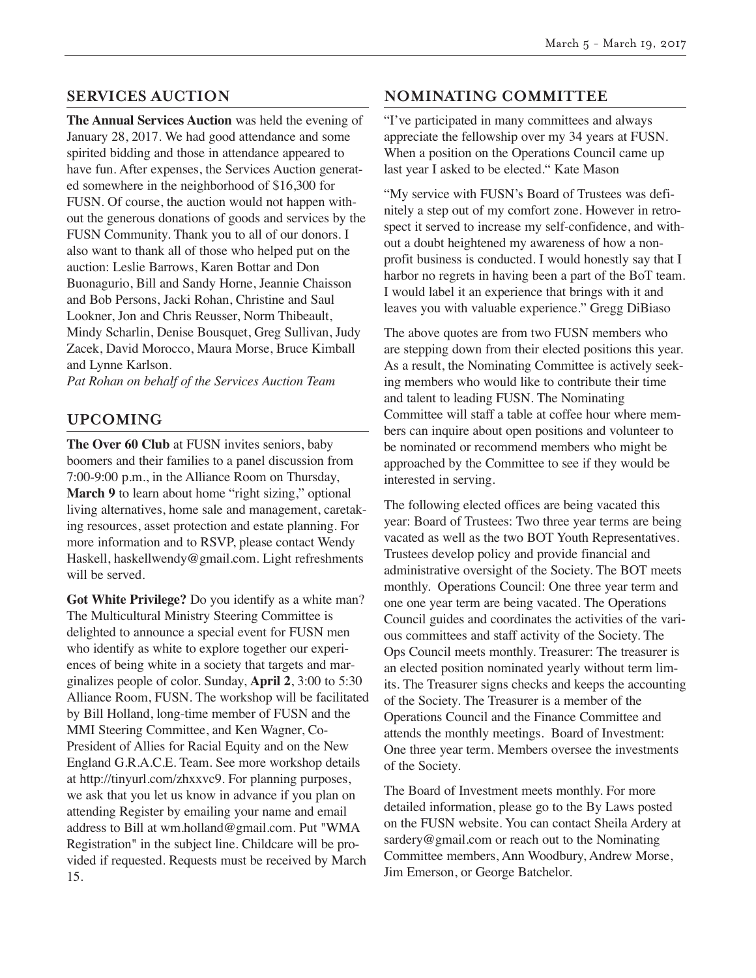# **SERVICES AUCTION**

**The Annual Services Auction** was held the evening of January 28, 2017. We had good attendance and some spirited bidding and those in attendance appeared to have fun. After expenses, the Services Auction generated somewhere in the neighborhood of \$16,300 for FUSN. Of course, the auction would not happen without the generous donations of goods and services by the FUSN Community. Thank you to all of our donors. I also want to thank all of those who helped put on the auction: Leslie Barrows, Karen Bottar and Don Buonagurio, Bill and Sandy Horne, Jeannie Chaisson and Bob Persons, Jacki Rohan, Christine and Saul Lookner, Jon and Chris Reusser, Norm Thibeault, Mindy Scharlin, Denise Bousquet, Greg Sullivan, Judy Zacek, David Morocco, Maura Morse, Bruce Kimball and Lynne Karlson.

*Pat Rohan on behalf of the Services Auction Team*

# **UPCOMING**

**The Over 60 Club** at FUSN invites seniors, baby boomers and their families to a panel discussion from 7:00-9:00 p.m., in the Alliance Room on Thursday, **March 9** to learn about home "right sizing," optional living alternatives, home sale and management, caretaking resources, asset protection and estate planning. For more information and to RSVP, please contact Wendy Haskell, haskellwendy@gmail.com. Light refreshments will be served.

**Got White Privilege?** Do you identify as a white man? The Multicultural Ministry Steering Committee is delighted to announce a special event for FUSN men who identify as white to explore together our experiences of being white in a society that targets and marginalizes people of color. Sunday, **April 2**, 3:00 to 5:30 Alliance Room, FUSN. The workshop will be facilitated by Bill Holland, long-time member of FUSN and the MMI Steering Committee, and Ken Wagner, Co-President of Allies for Racial Equity and on the New England G.R.A.C.E. Team. See more workshop details at http://tinyurl.com/zhxxvc9. For planning purposes, we ask that you let us know in advance if you plan on attending Register by emailing your name and email address to Bill at wm.holland@gmail.com. Put "WMA Registration" in the subject line. Childcare will be provided if requested. Requests must be received by March 15.

# **NOMINATING COMMITTEE**

"I've participated in many committees and always appreciate the fellowship over my 34 years at FUSN. When a position on the Operations Council came up last year I asked to be elected." Kate Mason

"My service with FUSN's Board of Trustees was definitely a step out of my comfort zone. However in retrospect it served to increase my self-confidence, and without a doubt heightened my awareness of how a nonprofit business is conducted. I would honestly say that I harbor no regrets in having been a part of the BoT team. I would label it an experience that brings with it and leaves you with valuable experience." Gregg DiBiaso

The above quotes are from two FUSN members who are stepping down from their elected positions this year. As a result, the Nominating Committee is actively seeking members who would like to contribute their time and talent to leading FUSN. The Nominating Committee will staff a table at coffee hour where members can inquire about open positions and volunteer to be nominated or recommend members who might be approached by the Committee to see if they would be interested in serving.

The following elected offices are being vacated this year: Board of Trustees: Two three year terms are being vacated as well as the two BOT Youth Representatives. Trustees develop policy and provide financial and administrative oversight of the Society. The BOT meets monthly. Operations Council: One three year term and one one year term are being vacated. The Operations Council guides and coordinates the activities of the various committees and staff activity of the Society. The Ops Council meets monthly. Treasurer: The treasurer is an elected position nominated yearly without term limits. The Treasurer signs checks and keeps the accounting of the Society. The Treasurer is a member of the Operations Council and the Finance Committee and attends the monthly meetings. Board of Investment: One three year term. Members oversee the investments of the Society.

The Board of Investment meets monthly. For more detailed information, please go to the By Laws posted on the FUSN website. You can contact Sheila Ardery at sardery@gmail.com or reach out to the Nominating Committee members, Ann Woodbury, Andrew Morse, Jim Emerson, or George Batchelor.